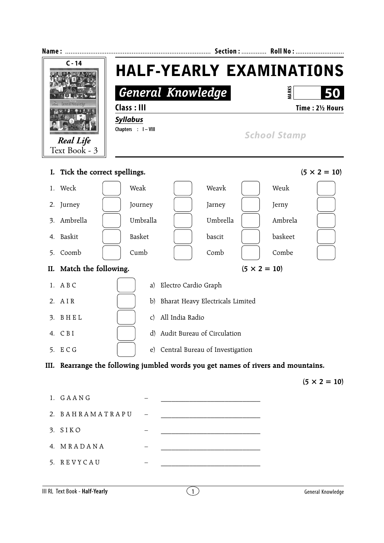| Name:                                       |                                                                                   |                                                                                                                      | Section:  Roll No:                  |                        |
|---------------------------------------------|-----------------------------------------------------------------------------------|----------------------------------------------------------------------------------------------------------------------|-------------------------------------|------------------------|
| C - 14<br><b>Real Life</b><br>Text Book - 3 | Class: III<br><b>Syllabus</b><br>Chapters : I-VIII                                | <b>HALF-YEARLY EXAMINATIONS</b><br><b>General Knowledge</b>                                                          | <b>MARKS</b><br><b>School Stamp</b> | 50<br>Time: 21/2 Hours |
| I. Tick the correct spellings.              |                                                                                   |                                                                                                                      |                                     | $(5 \times 2 = 10)$    |
| 1. Weck                                     | Weak                                                                              | Weavk                                                                                                                | Weuk                                |                        |
| 2. Jurney                                   | Journey                                                                           | Jarney                                                                                                               | Jerny                               |                        |
| Ambrella<br>3.                              | Umbralla                                                                          | Umbrella                                                                                                             | Ambrela                             |                        |
| 4. Baskit                                   | Basket                                                                            | bascit                                                                                                               | baskeet                             |                        |
| Coomb<br>5.                                 | Cumb                                                                              | Comb                                                                                                                 | Combe                               |                        |
| II. Match the following.                    |                                                                                   |                                                                                                                      | $(5 \times 2 = 10)$                 |                        |
| 1. A B C                                    | a)                                                                                | Electro Cardio Graph                                                                                                 |                                     |                        |
| 2. AIR                                      |                                                                                   | b) Bharat Heavy Electricals Limited                                                                                  |                                     |                        |
| BHEL<br>3.                                  | $\mathsf{C}$                                                                      | All India Radio                                                                                                      |                                     |                        |
| 4. CBI                                      |                                                                                   | d) Audit Bureau of Circulation                                                                                       |                                     |                        |
| 5. ECG                                      |                                                                                   | e) Central Bureau of Investigation                                                                                   |                                     |                        |
|                                             | III. Rearrange the following jumbled words you get names of rivers and mountains. |                                                                                                                      |                                     |                        |
|                                             |                                                                                   |                                                                                                                      |                                     | $(5 \times 2 = 10)$    |
| 1. GAANG                                    |                                                                                   |                                                                                                                      |                                     |                        |
| BAHRAMATRAPU<br>2.                          |                                                                                   |                                                                                                                      |                                     |                        |
| 3. SIKO                                     |                                                                                   | <u> 1980 - Johann Barn, mars eta bat erroman erroman erroman erroman ez erroman erroman erroman ez erroman ez ez</u> |                                     |                        |
| 4. MRADANA                                  |                                                                                   |                                                                                                                      |                                     |                        |
| 5. REVYCAU                                  |                                                                                   |                                                                                                                      |                                     |                        |
|                                             |                                                                                   |                                                                                                                      |                                     |                        |

**III RL Text Book - Half-Yearly 1 General Knowledge**